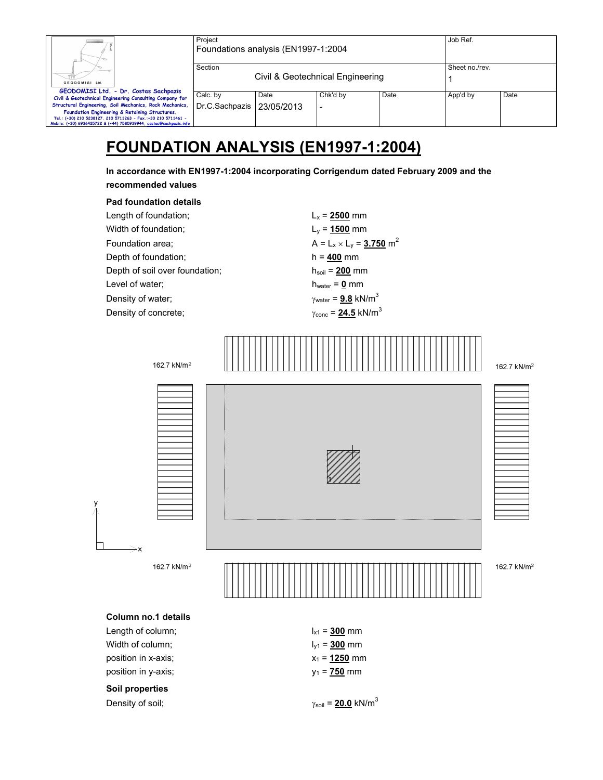|                                                                    | Project        |                                     |                                  |      | Job Ref.       |      |
|--------------------------------------------------------------------|----------------|-------------------------------------|----------------------------------|------|----------------|------|
| Ш.                                                                 |                | Foundations analysis (EN1997-1:2004 |                                  |      |                |      |
|                                                                    | Section        |                                     |                                  |      | Sheet no./rev. |      |
| GEODOMISI Ltd.                                                     |                |                                     | Civil & Geotechnical Engineering |      |                |      |
| GEODOMISI Ltd. - Dr. Costas Sachpazis                              |                |                                     |                                  |      |                |      |
| Civil & Geotechnical Engineering Consulting Company for            | Calc. by       | Date                                | Chk'd by                         | Date | App'd by       | Date |
| Structural Engineering, Soil Mechanics, Rock Mechanics,            | Dr.C.Sachpazis | 23/05/2013                          |                                  |      |                |      |
| Foundation Engineering & Retaining Structures.                     |                |                                     |                                  |      |                |      |
| Tel.: (+30) 210 5238127, 210 5711263 - Fax.:+30 210 5711461 -      |                |                                     |                                  |      |                |      |
| Mobile: (+30) 6936425722 & (+44) 7585939944, costas@sachpazis.info |                |                                     |                                  |      |                |      |

# **FOUNDATION ANALYSIS (EN1997-1:2004)**

**In accordance with EN1997-1:2004 incorporating Corrigendum dated February 2009 and the recommended values** 

#### **Pad foundation details**

Length of foundation;  $L_x = 2500$  mm Width of foundation;  $L_y = 1500$  mm Foundation area;  $A = L_x \times L_y = 3.750 \text{ m}^2$ Depth of foundation; h = **400** mm Depth of soil over foundation; h<sub>soil</sub> = 200 mm Level of water;  $h_{water} = 0$  mm Density of water;  $\gamma_{\text{water}} = 9.8 \text{ kN/m}^3$ Density of concrete;  $\gamma_{\text{conc}} = 24.5 \text{ kN/m}^3$ 



## **Column no.1 details**

Length of column;  $I_{x1} = 300$  mm Width of column;  $I_{y1} = 300$  mm position in x-axis;  $x_1 = 1250$  mm position in y-axis;  $y_1 = 750$  mm

#### **Soil properties**

Density of soil;  $\gamma_{\text{soil}} = 20.0 \text{ kN/m}^3$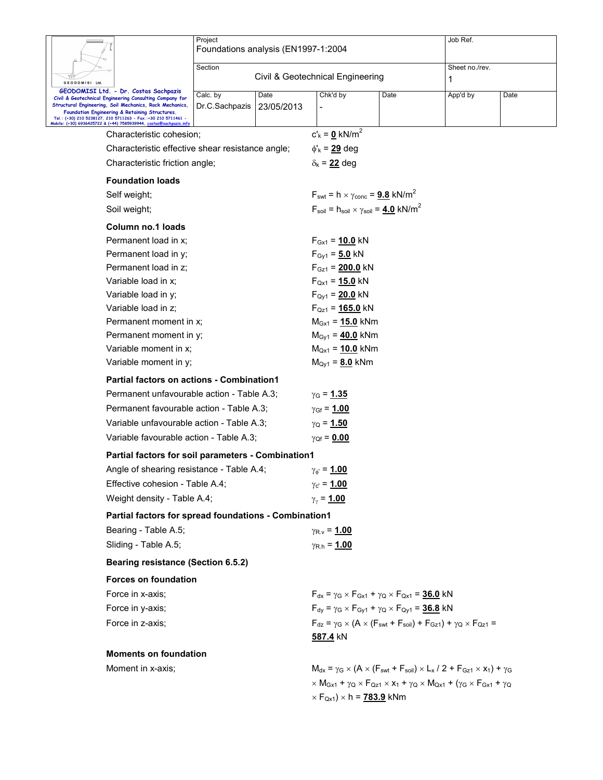|                                                                                                                                     | Project                             |            |                                                                          |                                                                                                                 | Job Ref.                                                                                                                                                                                                                                 |      |  |  |
|-------------------------------------------------------------------------------------------------------------------------------------|-------------------------------------|------------|--------------------------------------------------------------------------|-----------------------------------------------------------------------------------------------------------------|------------------------------------------------------------------------------------------------------------------------------------------------------------------------------------------------------------------------------------------|------|--|--|
|                                                                                                                                     | Foundations analysis (EN1997-1:2004 |            |                                                                          |                                                                                                                 |                                                                                                                                                                                                                                          |      |  |  |
|                                                                                                                                     | Section                             |            |                                                                          | Sheet no./rev.                                                                                                  |                                                                                                                                                                                                                                          |      |  |  |
| GEODOMISI Ltd.                                                                                                                      |                                     |            | Civil & Geotechnical Engineering                                         |                                                                                                                 | 1                                                                                                                                                                                                                                        |      |  |  |
| GEODOMISI Ltd. - Dr. Costas Sachpazis<br>Civil & Geotechnical Engineering Consulting Company for                                    | Calc. by                            | Date       | Chk'd by                                                                 | Date                                                                                                            | App'd by                                                                                                                                                                                                                                 | Date |  |  |
| Structural Engineering, Soil Mechanics, Rock Mechanics,<br>Foundation Engineering & Retaining Structures.                           | Dr.C.Sachpazis                      | 23/05/2013 |                                                                          |                                                                                                                 |                                                                                                                                                                                                                                          |      |  |  |
| Tel.: (+30) 210 5238127, 210 5711263 - Fax.:+30 210 5711461 -<br>Mobile: (+30) 6936425722 & (+44) 7585939944, costas@sachpazis.info |                                     |            |                                                                          |                                                                                                                 |                                                                                                                                                                                                                                          |      |  |  |
| Characteristic cohesion;                                                                                                            |                                     |            | $c'_{k} = 0$ kN/m <sup>2</sup>                                           |                                                                                                                 |                                                                                                                                                                                                                                          |      |  |  |
| Characteristic effective shear resistance angle;                                                                                    |                                     |            | $\phi'_{k}$ = 29 deg                                                     |                                                                                                                 |                                                                                                                                                                                                                                          |      |  |  |
| Characteristic friction angle;                                                                                                      |                                     |            | $\delta_{k}$ = 22 deg                                                    |                                                                                                                 |                                                                                                                                                                                                                                          |      |  |  |
| <b>Foundation loads</b>                                                                                                             |                                     |            |                                                                          |                                                                                                                 |                                                                                                                                                                                                                                          |      |  |  |
| Self weight;                                                                                                                        |                                     |            | $F_{\text{swt}} = h \times \gamma_{\text{conc}} = 9.8$ kN/m <sup>2</sup> |                                                                                                                 |                                                                                                                                                                                                                                          |      |  |  |
| Soil weight;                                                                                                                        |                                     |            |                                                                          | $F_{\text{soil}} = h_{\text{soil}} \times \gamma_{\text{soil}} = 4.0 \text{ kN/m}^2$                            |                                                                                                                                                                                                                                          |      |  |  |
| Column no.1 loads                                                                                                                   |                                     |            |                                                                          |                                                                                                                 |                                                                                                                                                                                                                                          |      |  |  |
| Permanent load in x;                                                                                                                |                                     |            | $F_{Gx1} = 10.0$ kN                                                      |                                                                                                                 |                                                                                                                                                                                                                                          |      |  |  |
| Permanent load in y;                                                                                                                |                                     |            | $F_{\text{Gy1}} = 5.0 \text{ kN}$                                        |                                                                                                                 |                                                                                                                                                                                                                                          |      |  |  |
| Permanent load in z;                                                                                                                |                                     |            | $F_{Gz1} = 200.0$ kN                                                     |                                                                                                                 |                                                                                                                                                                                                                                          |      |  |  |
| Variable load in x;                                                                                                                 |                                     |            | $F_{Qx1} = 15.0$ kN                                                      |                                                                                                                 |                                                                                                                                                                                                                                          |      |  |  |
| Variable load in y;                                                                                                                 |                                     |            | $F_{Qy1} = 20.0$ kN                                                      |                                                                                                                 |                                                                                                                                                                                                                                          |      |  |  |
| Variable load in z;                                                                                                                 |                                     |            | $F_{QZ1} = 165.0$ kN                                                     |                                                                                                                 |                                                                                                                                                                                                                                          |      |  |  |
| Permanent moment in x;                                                                                                              |                                     |            | $M_{Gx1} = 15.0$ kNm<br>$M_{\text{Gy1}} = 40.0 \text{ kNm}$              |                                                                                                                 |                                                                                                                                                                                                                                          |      |  |  |
| Permanent moment in y;<br>Variable moment in x;                                                                                     |                                     |            | $M_{Qx1} = 10.0$ kNm                                                     |                                                                                                                 |                                                                                                                                                                                                                                          |      |  |  |
| Variable moment in y;                                                                                                               |                                     |            | $M_{Qy1} = 8.0$ kNm                                                      |                                                                                                                 |                                                                                                                                                                                                                                          |      |  |  |
|                                                                                                                                     |                                     |            |                                                                          |                                                                                                                 |                                                                                                                                                                                                                                          |      |  |  |
| <b>Partial factors on actions - Combination1</b>                                                                                    |                                     |            |                                                                          |                                                                                                                 |                                                                                                                                                                                                                                          |      |  |  |
| Permanent unfavourable action - Table A.3;                                                                                          |                                     |            | $γ$ <sub>G</sub> = <u>1.35</u>                                           |                                                                                                                 |                                                                                                                                                                                                                                          |      |  |  |
| Permanent favourable action - Table A.3;                                                                                            |                                     |            | $\gamma_{\text{Gf}} = 1.00$                                              |                                                                                                                 |                                                                                                                                                                                                                                          |      |  |  |
| Variable unfavourable action - Table A.3;                                                                                           |                                     |            | $γ$ <sub>Q</sub> = <u>1.50</u>                                           |                                                                                                                 |                                                                                                                                                                                                                                          |      |  |  |
| Variable favourable action - Table A.3;                                                                                             |                                     |            | $\gamma_{Qf} = 0.00$                                                     |                                                                                                                 |                                                                                                                                                                                                                                          |      |  |  |
| Partial factors for soil parameters - Combination1                                                                                  |                                     |            |                                                                          |                                                                                                                 |                                                                                                                                                                                                                                          |      |  |  |
| Angle of shearing resistance - Table A.4;                                                                                           |                                     |            | $\gamma_{\phi} = 1.00$                                                   |                                                                                                                 |                                                                                                                                                                                                                                          |      |  |  |
| Effective cohesion - Table A.4;                                                                                                     |                                     |            | $\gamma_{c'} = 1.00$                                                     |                                                                                                                 |                                                                                                                                                                                                                                          |      |  |  |
| Weight density - Table A.4;                                                                                                         |                                     |            | $γγ = 1.00$                                                              |                                                                                                                 |                                                                                                                                                                                                                                          |      |  |  |
| Partial factors for spread foundations - Combination1                                                                               |                                     |            |                                                                          |                                                                                                                 |                                                                                                                                                                                                                                          |      |  |  |
| Bearing - Table A.5;                                                                                                                |                                     |            | $\gamma_{\rm R.V} = 1.00$                                                |                                                                                                                 |                                                                                                                                                                                                                                          |      |  |  |
| Sliding - Table A.5;                                                                                                                |                                     |            | $\gamma_{\rm R.h} = 1.00$                                                |                                                                                                                 |                                                                                                                                                                                                                                          |      |  |  |
| Bearing resistance (Section 6.5.2)                                                                                                  |                                     |            |                                                                          |                                                                                                                 |                                                                                                                                                                                                                                          |      |  |  |
| <b>Forces on foundation</b>                                                                                                         |                                     |            |                                                                          |                                                                                                                 |                                                                                                                                                                                                                                          |      |  |  |
| Force in x-axis;                                                                                                                    |                                     |            |                                                                          | $F_{dx}$ = $\gamma$ <sub>G</sub> $\times$ $F_{Gx1}$ + $\gamma$ <sub>Q</sub> $\times$ $F_{Qx1}$ = <b>36.0</b> kN |                                                                                                                                                                                                                                          |      |  |  |
| Force in y-axis;                                                                                                                    |                                     |            |                                                                          | $F_{dy} = \gamma_G \times F_{Gy1} + \gamma_Q \times F_{Qy1} = 36.8$ kN                                          |                                                                                                                                                                                                                                          |      |  |  |
| Force in z-axis;                                                                                                                    |                                     |            |                                                                          |                                                                                                                 | $F_{dz} = \gamma_G \times (A \times (F_{swt} + F_{soil}) + F_{Gz1}) + \gamma_Q \times F_{Qz1} =$                                                                                                                                         |      |  |  |
|                                                                                                                                     |                                     |            | <u>587.4</u> kN                                                          |                                                                                                                 |                                                                                                                                                                                                                                          |      |  |  |
| <b>Moments on foundation</b>                                                                                                        |                                     |            |                                                                          |                                                                                                                 |                                                                                                                                                                                                                                          |      |  |  |
| Moment in x-axis;                                                                                                                   |                                     |            |                                                                          |                                                                                                                 | $M_{dx} = \gamma_G \times (A \times (F_{swt} + F_{soil}) \times L_x / 2 + F_{Gz1} \times x_1) + \gamma_G$                                                                                                                                |      |  |  |
|                                                                                                                                     |                                     |            |                                                                          |                                                                                                                 | $\times$ M <sub>Gx1</sub> + $\gamma$ <sub>Q</sub> $\times$ F <sub>Qz1</sub> $\times$ <b>x</b> <sub>1</sub> + $\gamma$ <sub>Q</sub> $\times$ M <sub>Qx1</sub> + ( $\gamma$ <sub>G</sub> $\times$ F <sub>Gx1</sub> + $\gamma$ <sub>Q</sub> |      |  |  |
|                                                                                                                                     |                                     |            | $\times$ F <sub>Qx1</sub> ) $\times$ h = <u>783.9</u> kNm                |                                                                                                                 |                                                                                                                                                                                                                                          |      |  |  |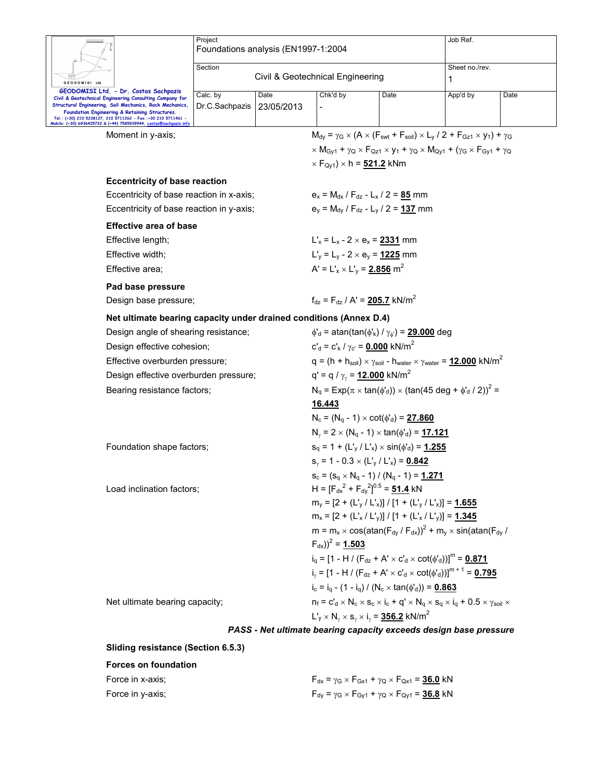|                                                                                                                                                                                                                                                                                                                                                     | Project<br>Foundations analysis (EN1997-1:2004 |                    |                                                         |                                                                                                                   | Job Ref.                                                                                                                                                                                                                                 |      |
|-----------------------------------------------------------------------------------------------------------------------------------------------------------------------------------------------------------------------------------------------------------------------------------------------------------------------------------------------------|------------------------------------------------|--------------------|---------------------------------------------------------|-------------------------------------------------------------------------------------------------------------------|------------------------------------------------------------------------------------------------------------------------------------------------------------------------------------------------------------------------------------------|------|
|                                                                                                                                                                                                                                                                                                                                                     | Section                                        |                    |                                                         |                                                                                                                   | Sheet no./rev.                                                                                                                                                                                                                           |      |
| <b>GEODOMISI Ltd</b>                                                                                                                                                                                                                                                                                                                                | Civil & Geotechnical Engineering               |                    |                                                         |                                                                                                                   | 1                                                                                                                                                                                                                                        |      |
| GEODOMISI Ltd. - Dr. Costas Sachpazis<br>Civil & Geotechnical Engineering Consulting Company for<br>Structural Engineering, Soil Mechanics, Rock Mechanics,<br>Foundation Engineering & Retaining Structures.<br>Tel.: (+30) 210 5238127, 210 5711263 - Fax.:+30 210 5711461 -<br>Mobile: (+30) 6936425722 & (+44) 7585939944, costas@sachpazis.inf | Calc. by<br>Dr.C.Sachpazis                     | Date<br>23/05/2013 | Chk'd by                                                | Date                                                                                                              | App'd by                                                                                                                                                                                                                                 | Date |
| Moment in y-axis;                                                                                                                                                                                                                                                                                                                                   |                                                |                    |                                                         |                                                                                                                   | $M_{\text{dv}} = \gamma_G \times (A \times (F_{\text{swt}} + F_{\text{soil}}) \times L_v / 2 + F_{\text{Gz1}} \times y_1) + \gamma_G$                                                                                                    |      |
|                                                                                                                                                                                                                                                                                                                                                     |                                                |                    |                                                         |                                                                                                                   | $\times$ M <sub>Gv1</sub> + $\gamma$ <sub>Q</sub> $\times$ F <sub>Qz1</sub> $\times$ <b>y</b> <sub>1</sub> + $\gamma$ <sub>Q</sub> $\times$ M <sub>Qv1</sub> + ( $\gamma$ <sub>G</sub> $\times$ F <sub>Gv1</sub> + $\gamma$ <sub>Q</sub> |      |
|                                                                                                                                                                                                                                                                                                                                                     |                                                |                    | $\times$ F <sub>Qy1</sub> ) $\times$ h = 521.2 kNm      |                                                                                                                   |                                                                                                                                                                                                                                          |      |
| <b>Eccentricity of base reaction</b>                                                                                                                                                                                                                                                                                                                |                                                |                    |                                                         |                                                                                                                   |                                                                                                                                                                                                                                          |      |
| Eccentricity of base reaction in x-axis;                                                                                                                                                                                                                                                                                                            |                                                |                    |                                                         | $e_x = M_{dx} / F_{dz} - L_x / 2 = 85$ mm                                                                         |                                                                                                                                                                                                                                          |      |
| Eccentricity of base reaction in y-axis;                                                                                                                                                                                                                                                                                                            |                                                |                    |                                                         | $e_v = M_{dv} / F_{dz} - L_v / 2 = 137$ mm                                                                        |                                                                                                                                                                                                                                          |      |
| <b>Effective area of base</b>                                                                                                                                                                                                                                                                                                                       |                                                |                    |                                                         |                                                                                                                   |                                                                                                                                                                                                                                          |      |
| Effective length;                                                                                                                                                                                                                                                                                                                                   |                                                |                    | $L'_{x} = L_{x} - 2 \times e_{x} = 2331$ mm             |                                                                                                                   |                                                                                                                                                                                                                                          |      |
| Effective width:                                                                                                                                                                                                                                                                                                                                    |                                                |                    | $L'_y = L_y - 2 \times e_y = 1225$ mm                   |                                                                                                                   |                                                                                                                                                                                                                                          |      |
| Effective area;                                                                                                                                                                                                                                                                                                                                     |                                                |                    | $A' = L'_{x} \times L'_{y} = 2.856$ m <sup>2</sup>      |                                                                                                                   |                                                                                                                                                                                                                                          |      |
| Pad base pressure                                                                                                                                                                                                                                                                                                                                   |                                                |                    |                                                         |                                                                                                                   |                                                                                                                                                                                                                                          |      |
| Design base pressure;                                                                                                                                                                                                                                                                                                                               |                                                |                    | $f_{dz} = F_{dz} / A' = 205.7$ kN/m <sup>2</sup>        |                                                                                                                   |                                                                                                                                                                                                                                          |      |
| Net ultimate bearing capacity under drained conditions (Annex D.4)                                                                                                                                                                                                                                                                                  |                                                |                    |                                                         |                                                                                                                   |                                                                                                                                                                                                                                          |      |
| Design angle of shearing resistance;                                                                                                                                                                                                                                                                                                                |                                                |                    |                                                         | $\phi'_{d}$ = atan(tan( $\phi'_{k}$ ) / $\gamma_{\phi'}$ ) = 29.000 deg                                           |                                                                                                                                                                                                                                          |      |
| Design effective cohesion;                                                                                                                                                                                                                                                                                                                          |                                                |                    | $c'_{d} = c'_{k}/\gamma_{c'} = 0.000$ kN/m <sup>2</sup> |                                                                                                                   |                                                                                                                                                                                                                                          |      |
| Effective overburden pressure;                                                                                                                                                                                                                                                                                                                      |                                                |                    |                                                         |                                                                                                                   | $q = (h + h_{\text{soil}}) \times \gamma_{\text{soil}}$ - $h_{\text{water}} \times \gamma_{\text{water}} = 12.000 \text{ kN/m}^2$                                                                                                        |      |
| Design effective overburden pressure;                                                                                                                                                                                                                                                                                                               |                                                |                    | q' = q / $\gamma_{\gamma}$ = 12.000 kN/m <sup>2</sup>   |                                                                                                                   |                                                                                                                                                                                                                                          |      |
| Bearing resistance factors;                                                                                                                                                                                                                                                                                                                         |                                                |                    |                                                         |                                                                                                                   | $N_q = Exp(\pi \times tan(\phi_d)) \times (tan(45 deg + \phi_d / 2))^2 =$                                                                                                                                                                |      |
|                                                                                                                                                                                                                                                                                                                                                     |                                                |                    | 16.443                                                  |                                                                                                                   |                                                                                                                                                                                                                                          |      |
|                                                                                                                                                                                                                                                                                                                                                     |                                                |                    |                                                         | $N_c = (N_q - 1) \times \cot(\phi'_d) = 27.860$                                                                   |                                                                                                                                                                                                                                          |      |
|                                                                                                                                                                                                                                                                                                                                                     |                                                |                    |                                                         | $N_{\gamma} = 2 \times (N_q - 1) \times \tan(\phi_d) = 17.121$                                                    |                                                                                                                                                                                                                                          |      |
| Foundation shape factors;                                                                                                                                                                                                                                                                                                                           |                                                |                    |                                                         | $s_q = 1 + (L_v / L_x) \times \sin(\phi_d) = 1.255$                                                               |                                                                                                                                                                                                                                          |      |
|                                                                                                                                                                                                                                                                                                                                                     |                                                |                    |                                                         | $s_y = 1 - 0.3 \times (L'_y / L'_x) = 0.842$                                                                      |                                                                                                                                                                                                                                          |      |
|                                                                                                                                                                                                                                                                                                                                                     |                                                |                    |                                                         | $S_c = (S_q \times N_q - 1) / (N_q - 1) = 1.271$                                                                  |                                                                                                                                                                                                                                          |      |
| Load inclination factors;                                                                                                                                                                                                                                                                                                                           |                                                |                    |                                                         | H = $[F_{dx}^2 + F_{dy}^2]^{0.5} = 51.4$ kN                                                                       |                                                                                                                                                                                                                                          |      |
|                                                                                                                                                                                                                                                                                                                                                     |                                                |                    |                                                         | $m_v = [2 + (L_v'/L_x)] / [1 + (L_v'/L_x')] = 1.655$<br>$m_x = [2 + (L'_x / L'_y)] / [1 + (L'_x / L'_y)] = 1.345$ |                                                                                                                                                                                                                                          |      |
|                                                                                                                                                                                                                                                                                                                                                     |                                                |                    |                                                         |                                                                                                                   | $m = m_x \times cos(atan(F_{dy} / F_{dx}))^2 + m_y \times sin(atan(F_{dy} / F_{dx}))$                                                                                                                                                    |      |
|                                                                                                                                                                                                                                                                                                                                                     |                                                |                    | $(F_{dx})^2$ = 1.503                                    |                                                                                                                   |                                                                                                                                                                                                                                          |      |
|                                                                                                                                                                                                                                                                                                                                                     |                                                |                    |                                                         |                                                                                                                   | $i_a = [1 - H / (F_{dz} + A' \times C'_d \times \cot(\phi'_d))]^m = 0.871$                                                                                                                                                               |      |
|                                                                                                                                                                                                                                                                                                                                                     |                                                |                    |                                                         |                                                                                                                   | i <sub>v</sub> = [1 - H / (F <sub>dz</sub> + A' × c' <sub>d</sub> × cot( $\phi'$ <sub>d</sub> ))] <sup>m + 1</sup> = <b>0.795</b>                                                                                                        |      |
|                                                                                                                                                                                                                                                                                                                                                     |                                                |                    |                                                         | $i_c = i_a - (1 - i_a) / (N_c \times \tan(\phi'_d)) = 0.863$                                                      |                                                                                                                                                                                                                                          |      |
| Net ultimate bearing capacity;                                                                                                                                                                                                                                                                                                                      |                                                |                    |                                                         |                                                                                                                   | $n_f = c_d^{\prime} \times N_c \times s_c \times i_c + q^{\prime} \times N_q \times s_q \times i_q + 0.5 \times \gamma_{sol} \times$                                                                                                     |      |
|                                                                                                                                                                                                                                                                                                                                                     |                                                |                    |                                                         | $L_v \times N_v \times s_v \times i_v = 356.2$ kN/m <sup>2</sup>                                                  |                                                                                                                                                                                                                                          |      |
|                                                                                                                                                                                                                                                                                                                                                     |                                                |                    |                                                         |                                                                                                                   | PASS - Net ultimate bearing capacity exceeds design base pressure                                                                                                                                                                        |      |
| Sliding resistance (Section 6.5.3)                                                                                                                                                                                                                                                                                                                  |                                                |                    |                                                         |                                                                                                                   |                                                                                                                                                                                                                                          |      |
|                                                                                                                                                                                                                                                                                                                                                     |                                                |                    |                                                         |                                                                                                                   |                                                                                                                                                                                                                                          |      |

**Forces on foundation** 

| Force in x-axis: | $F_{dx}$ = $\gamma$ g × F <sub>Gx1</sub> + $\gamma$ q × F <sub>Qx1</sub> = <b>36.0</b> kN |
|------------------|-------------------------------------------------------------------------------------------|
| Force in y-axis; | $F_{dy}$ = γg × Fgy1 + γg × Fgy1 = <u>36.8</u> kN                                         |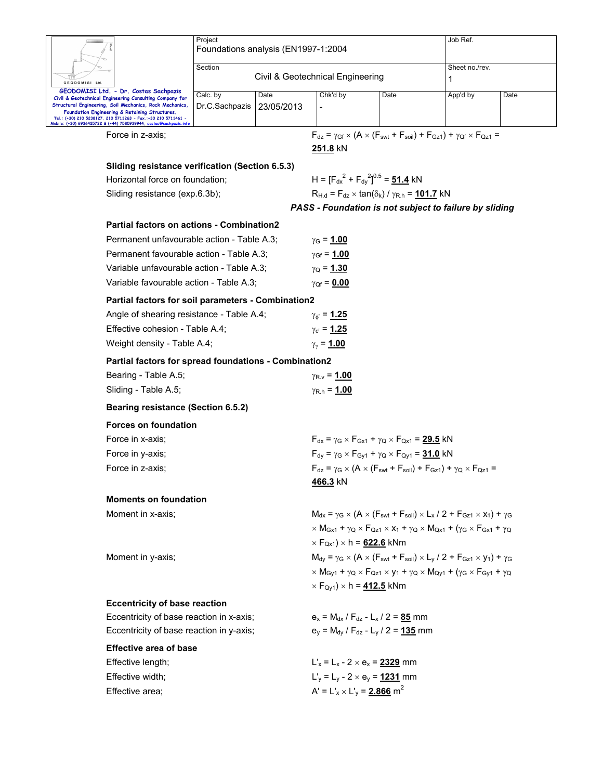|                                                                                                                        | Project<br>Foundations analysis (EN1997-1:2004 |                                  |                                                                                                                                                                                                  |                                                                        | Job Ref.                                                                                                                                                                                                                                 |      |  |  |  |
|------------------------------------------------------------------------------------------------------------------------|------------------------------------------------|----------------------------------|--------------------------------------------------------------------------------------------------------------------------------------------------------------------------------------------------|------------------------------------------------------------------------|------------------------------------------------------------------------------------------------------------------------------------------------------------------------------------------------------------------------------------------|------|--|--|--|
|                                                                                                                        |                                                |                                  |                                                                                                                                                                                                  |                                                                        |                                                                                                                                                                                                                                          |      |  |  |  |
|                                                                                                                        | Section                                        |                                  | Sheet no./rev.                                                                                                                                                                                   |                                                                        |                                                                                                                                                                                                                                          |      |  |  |  |
| GEODOMISI Ltd.                                                                                                         |                                                | Civil & Geotechnical Engineering | 1                                                                                                                                                                                                |                                                                        |                                                                                                                                                                                                                                          |      |  |  |  |
| GEODOMISI Ltd. - Dr. Costas Sachpazis<br>Civil & Geotechnical Engineering Consulting Company for                       | Calc. by                                       | Date                             | Chk'd by                                                                                                                                                                                         | Date                                                                   | App'd by                                                                                                                                                                                                                                 | Date |  |  |  |
| Structural Engineering, Soil Mechanics, Rock Mechanics,<br>Foundation Engineering & Retaining Structures.              | Dr.C.Sachpazis                                 | 23/05/2013                       |                                                                                                                                                                                                  |                                                                        |                                                                                                                                                                                                                                          |      |  |  |  |
| Tel.: (+30) 210 5238127, 210 5711263 - Fax.:+30 210 5711461 -<br>Mobile: (+30) 6936425722 & (+44) 7585939944, costas@s |                                                |                                  |                                                                                                                                                                                                  |                                                                        |                                                                                                                                                                                                                                          |      |  |  |  |
| Force in z-axis;                                                                                                       |                                                |                                  |                                                                                                                                                                                                  |                                                                        | $F_{dz} = \gamma_{Gf} \times (A \times (F_{swt} + F_{soil}) + F_{Gz1}) + \gamma_{Qf} \times F_{Qz1} =$                                                                                                                                   |      |  |  |  |
|                                                                                                                        |                                                |                                  | 251.8 kN                                                                                                                                                                                         |                                                                        |                                                                                                                                                                                                                                          |      |  |  |  |
| Sliding resistance verification (Section 6.5.3)                                                                        |                                                |                                  |                                                                                                                                                                                                  |                                                                        |                                                                                                                                                                                                                                          |      |  |  |  |
| Horizontal force on foundation;                                                                                        |                                                |                                  |                                                                                                                                                                                                  | H = $[F_{dx}^2 + F_{dy}^2]^{0.5} = 51.4$ kN                            |                                                                                                                                                                                                                                          |      |  |  |  |
| Sliding resistance (exp.6.3b);                                                                                         |                                                |                                  |                                                                                                                                                                                                  | $R_{H,d} = F_{dz} \times \tan(\delta_k) / \gamma_{R,h} = 101.7$ kN     |                                                                                                                                                                                                                                          |      |  |  |  |
|                                                                                                                        |                                                |                                  |                                                                                                                                                                                                  |                                                                        | PASS - Foundation is not subject to failure by sliding                                                                                                                                                                                   |      |  |  |  |
| <b>Partial factors on actions - Combination2</b>                                                                       |                                                |                                  |                                                                                                                                                                                                  |                                                                        |                                                                                                                                                                                                                                          |      |  |  |  |
| Permanent unfavourable action - Table A.3;                                                                             |                                                |                                  | $\gamma_{\rm G} = 1.00$                                                                                                                                                                          |                                                                        |                                                                                                                                                                                                                                          |      |  |  |  |
| Permanent favourable action - Table A.3;                                                                               |                                                |                                  | $\gamma_{\rm Gf} = 1.00$                                                                                                                                                                         |                                                                        |                                                                                                                                                                                                                                          |      |  |  |  |
| Variable unfavourable action - Table A.3;                                                                              |                                                |                                  | $γ$ <sub>Ω</sub> = <u>1.30</u>                                                                                                                                                                   |                                                                        |                                                                                                                                                                                                                                          |      |  |  |  |
| Variable favourable action - Table A.3;                                                                                |                                                |                                  | $\gamma_{\text{Qf}} = 0.00$                                                                                                                                                                      |                                                                        |                                                                                                                                                                                                                                          |      |  |  |  |
| Partial factors for soil parameters - Combination2                                                                     |                                                |                                  |                                                                                                                                                                                                  |                                                                        |                                                                                                                                                                                                                                          |      |  |  |  |
| Angle of shearing resistance - Table A.4;                                                                              |                                                |                                  | $\gamma_{\phi} = 1.25$                                                                                                                                                                           |                                                                        |                                                                                                                                                                                                                                          |      |  |  |  |
| Effective cohesion - Table A.4;                                                                                        |                                                |                                  | $\gamma_{\rm c} = 1.25$                                                                                                                                                                          |                                                                        |                                                                                                                                                                                                                                          |      |  |  |  |
|                                                                                                                        | Weight density - Table A.4;                    |                                  |                                                                                                                                                                                                  |                                                                        |                                                                                                                                                                                                                                          |      |  |  |  |
| Partial factors for spread foundations - Combination2                                                                  |                                                |                                  |                                                                                                                                                                                                  |                                                                        |                                                                                                                                                                                                                                          |      |  |  |  |
| Bearing - Table A.5;                                                                                                   |                                                |                                  | $\gamma_{\rm R.v} = 1.00$                                                                                                                                                                        |                                                                        |                                                                                                                                                                                                                                          |      |  |  |  |
| Sliding - Table A.5;                                                                                                   |                                                |                                  |                                                                                                                                                                                                  | $\gamma_{\rm R.h} = 1.00$                                              |                                                                                                                                                                                                                                          |      |  |  |  |
|                                                                                                                        | <b>Bearing resistance (Section 6.5.2)</b>      |                                  |                                                                                                                                                                                                  |                                                                        |                                                                                                                                                                                                                                          |      |  |  |  |
| <b>Forces on foundation</b>                                                                                            |                                                |                                  |                                                                                                                                                                                                  |                                                                        |                                                                                                                                                                                                                                          |      |  |  |  |
| Force in x-axis;                                                                                                       |                                                |                                  |                                                                                                                                                                                                  | $F_{dx} = \gamma_G \times F_{Gx1} + \gamma_Q \times F_{Qx1} = 29.5$ kN |                                                                                                                                                                                                                                          |      |  |  |  |
| Force in y-axis;                                                                                                       |                                                |                                  | $F_{dy} = \gamma_G \times F_{Gy1} + \gamma_Q \times F_{Qy1} = 31.0$ kN                                                                                                                           |                                                                        |                                                                                                                                                                                                                                          |      |  |  |  |
| Force in z-axis:                                                                                                       |                                                |                                  |                                                                                                                                                                                                  |                                                                        | $F_{dz} = \gamma_G \times (A \times (F_{swt} + F_{soil}) + F_{Gz1}) + \gamma_Q \times F_{Qz1} =$                                                                                                                                         |      |  |  |  |
|                                                                                                                        |                                                |                                  | <u>466.3</u> kN                                                                                                                                                                                  |                                                                        |                                                                                                                                                                                                                                          |      |  |  |  |
| <b>Moments on foundation</b>                                                                                           |                                                |                                  |                                                                                                                                                                                                  |                                                                        |                                                                                                                                                                                                                                          |      |  |  |  |
| Moment in x-axis;                                                                                                      |                                                |                                  | $M_{dx} = \gamma_G \times (A \times (F_{swt} + F_{soil}) \times L_x / 2 + F_{Gz1} \times x_1) + \gamma_G$                                                                                        |                                                                        |                                                                                                                                                                                                                                          |      |  |  |  |
|                                                                                                                        |                                                |                                  | $\times$ M <sub>Gx1</sub> + $\gamma$ Q $\times$ F <sub>Qz1</sub> $\times$ X <sub>1</sub> + $\gamma$ Q $\times$ M <sub>Qx1</sub> + ( $\gamma$ <sub>G</sub> $\times$ F <sub>Gx1</sub> + $\gamma$ Q |                                                                        |                                                                                                                                                                                                                                          |      |  |  |  |
|                                                                                                                        |                                                |                                  | $\times$ F <sub>Qx1</sub> ) $\times$ h = <u>622.6</u> kNm                                                                                                                                        |                                                                        |                                                                                                                                                                                                                                          |      |  |  |  |
| Moment in y-axis;                                                                                                      |                                                |                                  | $M_{\text{dv}} = \gamma_G \times (A \times (F_{\text{swt}} + F_{\text{soil}}) \times L_V / 2 + F_{\text{GZ1}} \times V_1) + \gamma_G$                                                            |                                                                        |                                                                                                                                                                                                                                          |      |  |  |  |
|                                                                                                                        |                                                |                                  |                                                                                                                                                                                                  |                                                                        | $\times$ M <sub>Gy1</sub> + $\gamma$ <sub>Q</sub> $\times$ F <sub>Qz1</sub> $\times$ <b>y</b> <sub>1</sub> + $\gamma$ <sub>Q</sub> $\times$ M <sub>Qy1</sub> + ( $\gamma$ <sub>G</sub> $\times$ F <sub>Gy1</sub> + $\gamma$ <sub>Q</sub> |      |  |  |  |
|                                                                                                                        |                                                |                                  | $\times$ F <sub>Qv1</sub> ) $\times$ h = <b>412.5</b> kNm                                                                                                                                        |                                                                        |                                                                                                                                                                                                                                          |      |  |  |  |
| <b>Eccentricity of base reaction</b>                                                                                   |                                                |                                  |                                                                                                                                                                                                  |                                                                        |                                                                                                                                                                                                                                          |      |  |  |  |
| Eccentricity of base reaction in x-axis;                                                                               |                                                |                                  |                                                                                                                                                                                                  | $e_x = M_{dx} / F_{dz} - L_x / 2 = 85$ mm                              |                                                                                                                                                                                                                                          |      |  |  |  |
| Eccentricity of base reaction in y-axis;                                                                               |                                                |                                  |                                                                                                                                                                                                  | $e_v = M_{dv} / F_{dz} - L_v / 2 = 135$ mm                             |                                                                                                                                                                                                                                          |      |  |  |  |
| <b>Effective area of base</b>                                                                                          |                                                |                                  |                                                                                                                                                                                                  |                                                                        |                                                                                                                                                                                                                                          |      |  |  |  |
| Effective length;                                                                                                      |                                                |                                  | $L'_x = L_x - 2 \times e_x = 2329$ mm                                                                                                                                                            |                                                                        |                                                                                                                                                                                                                                          |      |  |  |  |
| Effective width;                                                                                                       |                                                |                                  | $L'_y = L_y - 2 \times e_y = 1231$ mm                                                                                                                                                            |                                                                        |                                                                                                                                                                                                                                          |      |  |  |  |
| Effective area;                                                                                                        |                                                |                                  | $A' = L'_{x} \times L'_{y} = 2.866$ m <sup>2</sup>                                                                                                                                               |                                                                        |                                                                                                                                                                                                                                          |      |  |  |  |
|                                                                                                                        |                                                |                                  |                                                                                                                                                                                                  |                                                                        |                                                                                                                                                                                                                                          |      |  |  |  |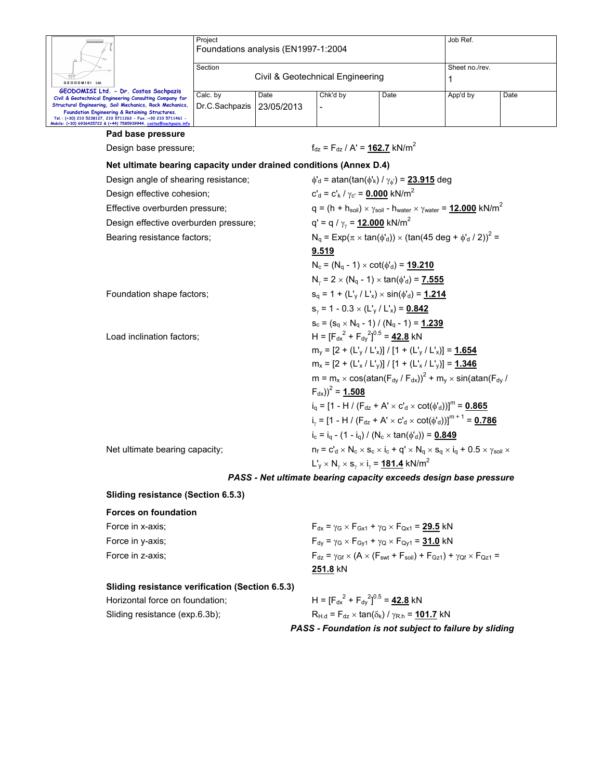|                                                                                                                                                                                                                                                                                                                                                     | Project<br>Foundations analysis (EN1997-1:2004 |                                  |                                                                              |                                                                                                                                 | Job Ref.            |      |  |  |
|-----------------------------------------------------------------------------------------------------------------------------------------------------------------------------------------------------------------------------------------------------------------------------------------------------------------------------------------------------|------------------------------------------------|----------------------------------|------------------------------------------------------------------------------|---------------------------------------------------------------------------------------------------------------------------------|---------------------|------|--|--|
| GEODOMISI Ltd                                                                                                                                                                                                                                                                                                                                       | Section                                        | Civil & Geotechnical Engineering |                                                                              |                                                                                                                                 | Sheet no./rev.<br>1 |      |  |  |
| GEODOMISI Ltd. - Dr. Costas Sachpazis<br>Civil & Geotechnical Engineering Consulting Company for<br>Structural Engineering, Soil Mechanics, Rock Mechanics,<br>Foundation Engineering & Retaining Structures.<br>Tel.: (+30) 210 5238127, 210 5711263 - Fax.:+30 210 5711461 -<br>Mobile: (+30) 6936425722 & (+44) 7585939944, costas@sachpazis.inf | Calc. by<br>Dr.C.Sachpazis                     | Date<br>23/05/2013               | Chk'd by                                                                     | Date                                                                                                                            | App'd by            | Date |  |  |
| Pad base pressure                                                                                                                                                                                                                                                                                                                                   |                                                |                                  |                                                                              |                                                                                                                                 |                     |      |  |  |
| Design base pressure;                                                                                                                                                                                                                                                                                                                               |                                                |                                  | $f_{\text{dz}} = F_{\text{dz}} / A' = 162.7 \text{ kN/m}^2$                  |                                                                                                                                 |                     |      |  |  |
| Net ultimate bearing capacity under drained conditions (Annex D.4)                                                                                                                                                                                                                                                                                  |                                                |                                  |                                                                              |                                                                                                                                 |                     |      |  |  |
| Design angle of shearing resistance;                                                                                                                                                                                                                                                                                                                |                                                |                                  |                                                                              | $\phi'_{d}$ = atan(tan( $\phi'_{k}$ ) / $\gamma_{d'}$ ) = 23.915 deg                                                            |                     |      |  |  |
| Design effective cohesion;                                                                                                                                                                                                                                                                                                                          |                                                |                                  | $c'_{d} = c'_{k}/\gamma_{c'} = 0.000$ kN/m <sup>2</sup>                      |                                                                                                                                 |                     |      |  |  |
| Effective overburden pressure;                                                                                                                                                                                                                                                                                                                      |                                                |                                  |                                                                              | $q = (h + h_{\text{soil}}) \times \gamma_{\text{soil}} - h_{\text{water}} \times \gamma_{\text{water}} = 12.000 \text{ kN/m}^2$ |                     |      |  |  |
| Design effective overburden pressure;                                                                                                                                                                                                                                                                                                               |                                                |                                  | q' = q / $\gamma_{\gamma}$ = 12.000 kN/m <sup>2</sup>                        |                                                                                                                                 |                     |      |  |  |
| Bearing resistance factors;                                                                                                                                                                                                                                                                                                                         |                                                |                                  |                                                                              | $N_q = Exp(\pi \times tan(\phi_d)) \times (tan(45 deg + \phi_d / 2))^2 =$                                                       |                     |      |  |  |
|                                                                                                                                                                                                                                                                                                                                                     |                                                |                                  | 9.519                                                                        |                                                                                                                                 |                     |      |  |  |
|                                                                                                                                                                                                                                                                                                                                                     |                                                |                                  |                                                                              | $N_c = (N_q - 1) \times \cot(\phi_d) = 19.210$                                                                                  |                     |      |  |  |
|                                                                                                                                                                                                                                                                                                                                                     |                                                |                                  |                                                                              | $N_v = 2 \times (N_q - 1) \times \tan(\phi_d) = 7.555$                                                                          |                     |      |  |  |
| Foundation shape factors;                                                                                                                                                                                                                                                                                                                           |                                                |                                  | $s_q = 1 + (L_v / L_x) \times \sin(\phi_d) = 1.214$                          |                                                                                                                                 |                     |      |  |  |
|                                                                                                                                                                                                                                                                                                                                                     |                                                |                                  | $S_v = 1 - 0.3 \times (L_v / L_x) = 0.842$                                   |                                                                                                                                 |                     |      |  |  |
|                                                                                                                                                                                                                                                                                                                                                     |                                                |                                  |                                                                              | $S_c = (S_q \times N_q - 1) / (N_q - 1) = 1.239$                                                                                |                     |      |  |  |
| Load inclination factors;                                                                                                                                                                                                                                                                                                                           |                                                |                                  |                                                                              | $H = [F_{dx}^2 + F_{dy}^2]^{0.5} = 42.8$ kN                                                                                     |                     |      |  |  |
|                                                                                                                                                                                                                                                                                                                                                     |                                                |                                  |                                                                              | $m_v = [2 + (L_v / L_x)] / [1 + (L_v / L_x)] = 1.654$                                                                           |                     |      |  |  |
|                                                                                                                                                                                                                                                                                                                                                     |                                                |                                  |                                                                              | $m_x = [2 + (L'_x / L'_y)] / [1 + (L'_x / L'_y)] = 1.346$                                                                       |                     |      |  |  |
|                                                                                                                                                                                                                                                                                                                                                     |                                                |                                  | $(F_{dx})^2$ = 1.508                                                         | $m = m_x \times cos(atan(F_{dy}/F_{dx}))^2 + m_y \times sin(atan(F_{dy}/F_{dx}))$                                               |                     |      |  |  |
|                                                                                                                                                                                                                                                                                                                                                     |                                                |                                  |                                                                              | $i_q = [1 - H / (F_{dz} + A' \times C'_d \times \cot(\phi'_d))]^m = 0.865$                                                      |                     |      |  |  |
|                                                                                                                                                                                                                                                                                                                                                     |                                                |                                  | $i_v = [1 - H / (F_{dz} + A' \times C_d \times \cot(\phi_d))]^{m+1} = 0.786$ |                                                                                                                                 |                     |      |  |  |
|                                                                                                                                                                                                                                                                                                                                                     |                                                |                                  | $i_c = i_a - (1 - i_a) / (N_c \times \tan(\phi_d)) = 0.849$                  |                                                                                                                                 |                     |      |  |  |
| Net ultimate bearing capacity;                                                                                                                                                                                                                                                                                                                      |                                                |                                  |                                                                              | $n_f = c_d^1 \times N_c \times s_c \times i_c + q' \times N_q \times s_q \times i_q + 0.5 \times \gamma_{sol} \times$           |                     |      |  |  |
|                                                                                                                                                                                                                                                                                                                                                     |                                                |                                  |                                                                              | $L'_v \times N_v \times s_v \times i_v = 181.4$ kN/m <sup>2</sup>                                                               |                     |      |  |  |
|                                                                                                                                                                                                                                                                                                                                                     |                                                |                                  |                                                                              | PASS - Net ultimate bearing capacity exceeds design base pressure                                                               |                     |      |  |  |
| Sliding resistance (Section 6.5.3)                                                                                                                                                                                                                                                                                                                  |                                                |                                  |                                                                              |                                                                                                                                 |                     |      |  |  |
| <b>Forces on foundation</b>                                                                                                                                                                                                                                                                                                                         |                                                |                                  |                                                                              |                                                                                                                                 |                     |      |  |  |
| Force in x-axis;                                                                                                                                                                                                                                                                                                                                    |                                                |                                  |                                                                              | $F_{dx}$ = $\gamma$ <sub>G</sub> $\times$ $F_{Gx1}$ + $\gamma$ <sub>Q</sub> $\times$ $F_{Qx1}$ = <b>29.5</b> kN                 |                     |      |  |  |
| Force in y-axis;                                                                                                                                                                                                                                                                                                                                    |                                                |                                  |                                                                              | $F_{dy} = \gamma_G \times F_{Gy1} + \gamma_Q \times F_{Qy1} = 31.0$ kN                                                          |                     |      |  |  |
| Force in z-axis;                                                                                                                                                                                                                                                                                                                                    |                                                |                                  |                                                                              | $F_{dz} = \gamma_{Gf} \times (A \times (F_{swt} + F_{soil}) + F_{Gz1}) + \gamma_{Qf} \times F_{Qz1} =$                          |                     |      |  |  |
|                                                                                                                                                                                                                                                                                                                                                     |                                                |                                  | 251.8 kN                                                                     |                                                                                                                                 |                     |      |  |  |

| Sliding resistance verification (Section 6.5.3) |                                             |
|-------------------------------------------------|---------------------------------------------|
| Horizontal force on foundation:                 | H = $[F_{dx}^2 + F_{dy}^2]^{0.5} = 42.8$ kN |
| Q                                               |                                             |

Sliding resistance (exp.6.3b);  $R_{H.d} = F_{dz} \times \tan(\delta_k) / \gamma_{R.h} = \frac{101.7}{2} kN$ *PASS - Foundation is not subject to failure by sliding*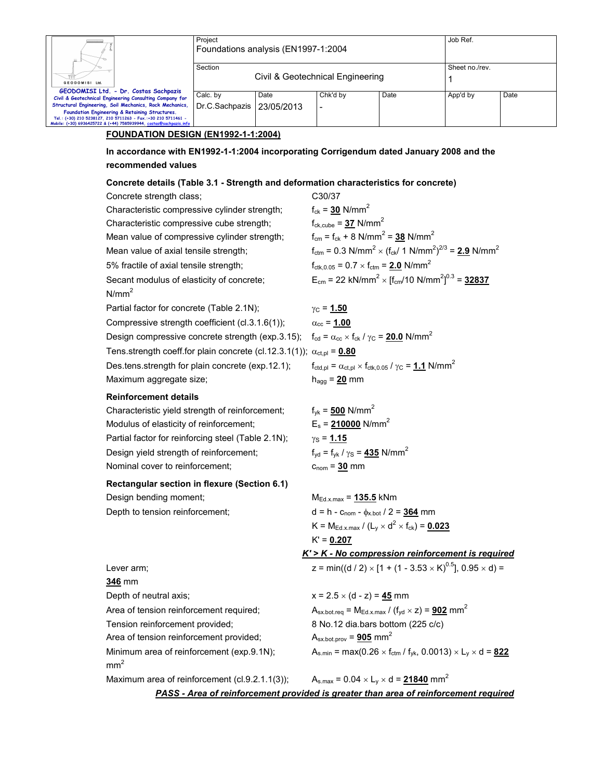|                                                                                                                                    | Project<br>Foundations analysis (EN1997-1:2004                                                                         |  | Job Ref.                                                                                               |                                                                                                           |                |      |  |  |
|------------------------------------------------------------------------------------------------------------------------------------|------------------------------------------------------------------------------------------------------------------------|--|--------------------------------------------------------------------------------------------------------|-----------------------------------------------------------------------------------------------------------|----------------|------|--|--|
|                                                                                                                                    | Section                                                                                                                |  |                                                                                                        |                                                                                                           | Sheet no./rev. |      |  |  |
| GEODOMISI Ltd.                                                                                                                     |                                                                                                                        |  | Civil & Geotechnical Engineering                                                                       |                                                                                                           | 1              |      |  |  |
| GEODOMISI Ltd. - Dr. Costas Sachpazis<br>Civil & Geotechnical Engineering Consulting Company for                                   | Date<br>Calc. by                                                                                                       |  | Chk'd by                                                                                               | Date                                                                                                      | App'd by       | Date |  |  |
| Structural Engineering, Soil Mechanics, Rock Mechanics,<br>Foundation Engineering & Retaining Structures.                          | Dr.C.Sachpazis<br>23/05/2013                                                                                           |  |                                                                                                        |                                                                                                           |                |      |  |  |
| Tel.: (+30) 210 5238127, 210 5711263 - Fax.:+30 210 5711461 -<br>Mobile: (+30) 6936425722 & (+44) 7585939944, costas@sachpazis.inf |                                                                                                                        |  |                                                                                                        |                                                                                                           |                |      |  |  |
|                                                                                                                                    | <b>FOUNDATION DESIGN (EN1992-1-1:2004)</b>                                                                             |  |                                                                                                        |                                                                                                           |                |      |  |  |
| recommended values                                                                                                                 | In accordance with EN1992-1-1:2004 incorporating Corrigendum dated January 2008 and the                                |  |                                                                                                        |                                                                                                           |                |      |  |  |
|                                                                                                                                    | Concrete details (Table 3.1 - Strength and deformation characteristics for concrete)                                   |  |                                                                                                        |                                                                                                           |                |      |  |  |
| Concrete strength class;                                                                                                           |                                                                                                                        |  | C30/37                                                                                                 |                                                                                                           |                |      |  |  |
|                                                                                                                                    | Characteristic compressive cylinder strength;                                                                          |  | $f_{ck} = 30$ N/mm <sup>2</sup>                                                                        |                                                                                                           |                |      |  |  |
|                                                                                                                                    | Characteristic compressive cube strength;                                                                              |  | $f_{ck.cube} = 37$ N/mm <sup>2</sup>                                                                   |                                                                                                           |                |      |  |  |
|                                                                                                                                    | Mean value of compressive cylinder strength;                                                                           |  | $f_{cm} = f_{ck} + 8$ N/mm <sup>2</sup> = 38 N/mm <sup>2</sup>                                         |                                                                                                           |                |      |  |  |
| Mean value of axial tensile strength;                                                                                              |                                                                                                                        |  |                                                                                                        | $f_{\text{ctm}} = 0.3 \text{ N/mm}^2 \times (f_{\text{ck}}/ 1 \text{ N/mm}^2)^{2/3} = 2.9 \text{ N/mm}^2$ |                |      |  |  |
| 5% fractile of axial tensile strength;                                                                                             |                                                                                                                        |  | $f_{\text{ctk},0.05} = 0.7 \times f_{\text{ctm}} = 2.0 \text{ N/mm}^2$                                 |                                                                                                           |                |      |  |  |
|                                                                                                                                    | Secant modulus of elasticity of concrete;                                                                              |  |                                                                                                        | $E_{cm}$ = 22 kN/mm <sup>2</sup> × [f <sub>cm</sub> /10 N/mm <sup>2</sup> ] <sup>0.3</sup> = 32837        |                |      |  |  |
| N/mm <sup>2</sup>                                                                                                                  |                                                                                                                        |  |                                                                                                        |                                                                                                           |                |      |  |  |
| Partial factor for concrete (Table 2.1N);                                                                                          |                                                                                                                        |  | $\gamma_{\rm C}$ = 1.50                                                                                |                                                                                                           |                |      |  |  |
|                                                                                                                                    | Compressive strength coefficient (cl.3.1.6(1));                                                                        |  | $\alpha_{\rm cc}$ = 1.00                                                                               |                                                                                                           |                |      |  |  |
|                                                                                                                                    | Design compressive concrete strength (exp.3.15); $f_{cd} = \alpha_{cc} \times f_{ck} / \gamma_c = 20.0 \text{ N/mm}^2$ |  |                                                                                                        |                                                                                                           |                |      |  |  |
|                                                                                                                                    | Tens strength coeff for plain concrete (cl.12.3.1(1)); $\alpha_{\text{ct,pl}} = 0.80$                                  |  |                                                                                                        |                                                                                                           |                |      |  |  |
|                                                                                                                                    | Des.tens.strength for plain concrete (exp.12.1);                                                                       |  | $f_{\text{ctd,pl}} = \alpha_{\text{ct,pl}} \times f_{\text{ctk,0.05}} / \gamma_C = 1.1 \text{ N/mm}^2$ |                                                                                                           |                |      |  |  |
| Maximum aggregate size;                                                                                                            |                                                                                                                        |  | $h_{agg} = 20$ mm                                                                                      |                                                                                                           |                |      |  |  |
| <b>Reinforcement details</b>                                                                                                       |                                                                                                                        |  |                                                                                                        |                                                                                                           |                |      |  |  |
|                                                                                                                                    | Characteristic yield strength of reinforcement;                                                                        |  | $f_{\text{vk}} = 500 \text{ N/mm}^2$                                                                   |                                                                                                           |                |      |  |  |
| Modulus of elasticity of reinforcement;                                                                                            |                                                                                                                        |  | $E_s$ = 210000 N/mm <sup>2</sup>                                                                       |                                                                                                           |                |      |  |  |
|                                                                                                                                    | Partial factor for reinforcing steel (Table 2.1N);                                                                     |  | $\gamma_{\rm S}$ = 1.15                                                                                |                                                                                                           |                |      |  |  |
| Design yield strength of reinforcement;                                                                                            |                                                                                                                        |  | $f_{yd} = f_{yk} / \gamma_s = 435$ N/mm <sup>2</sup>                                                   |                                                                                                           |                |      |  |  |
| Nominal cover to reinforcement;                                                                                                    |                                                                                                                        |  | $c_{nom} = 30$ mm                                                                                      |                                                                                                           |                |      |  |  |
|                                                                                                                                    | Rectangular section in flexure (Section 6.1)                                                                           |  |                                                                                                        |                                                                                                           |                |      |  |  |
| Design bending moment;                                                                                                             |                                                                                                                        |  | $M_{Ed.x.max} = 135.5$ kNm                                                                             |                                                                                                           |                |      |  |  |
| Depth to tension reinforcement;                                                                                                    |                                                                                                                        |  | $d = h - c_{\text{nom}} - \phi_{x, bot} / 2 = 364$ mm                                                  |                                                                                                           |                |      |  |  |
|                                                                                                                                    |                                                                                                                        |  |                                                                                                        | $K = M_{\text{Ed.x}.\text{max}} / (L_v \times d^2 \times f_{\text{ck}}) = 0.023$                          |                |      |  |  |
|                                                                                                                                    |                                                                                                                        |  | $K' = 0.207$                                                                                           |                                                                                                           |                |      |  |  |
|                                                                                                                                    |                                                                                                                        |  |                                                                                                        | $K'$ > $K$ - No compression reinforcement is required                                                     |                |      |  |  |
| Lever arm;                                                                                                                         |                                                                                                                        |  |                                                                                                        | z = min((d / 2) $\times$ [1 + (1 - 3.53 $\times$ K) <sup>0.5</sup> ], 0.95 $\times$ d) =                  |                |      |  |  |
| 346 mm                                                                                                                             |                                                                                                                        |  |                                                                                                        |                                                                                                           |                |      |  |  |
| Depth of neutral axis;                                                                                                             |                                                                                                                        |  | $x = 2.5 \times (d - z) = 45$ mm                                                                       |                                                                                                           |                |      |  |  |
| Area of tension reinforcement required;                                                                                            |                                                                                                                        |  |                                                                                                        | $A_{\text{sx.botreq}} = M_{\text{Ed.x.max}} / (f_{\text{yd}} \times z) = 902 \text{ mm}^2$                |                |      |  |  |
| Tension reinforcement provided;                                                                                                    |                                                                                                                        |  | 8 No.12 dia.bars bottom (225 c/c)                                                                      |                                                                                                           |                |      |  |  |
| Area of tension reinforcement provided;                                                                                            |                                                                                                                        |  | $A_{\text{sx.bot. prov}} = 905$ mm <sup>2</sup>                                                        |                                                                                                           |                |      |  |  |
| mm <sup>2</sup>                                                                                                                    | Minimum area of reinforcement (exp.9.1N);                                                                              |  |                                                                                                        | $A_{s,min} = max(0.26 \times f_{ctm} / f_{yk}, 0.0013) \times L_y \times d = 822$                         |                |      |  |  |
|                                                                                                                                    | Maximum area of reinforcement (cl.9.2.1.1(3));                                                                         |  |                                                                                                        | $A_{s,max} = 0.04 \times L_y \times d = 21840$ mm <sup>2</sup>                                            |                |      |  |  |

*PASS - Area of reinforcement provided is greater than area of reinforcement required*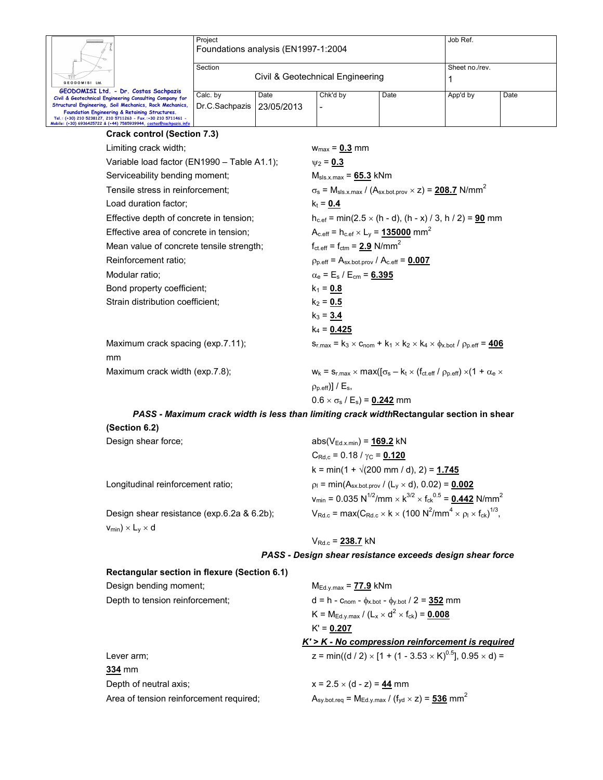| Ш.                                                                                                        | Project<br>Foundations analysis (EN1997-1:2004 | Job Ref.                         |                |      |          |      |
|-----------------------------------------------------------------------------------------------------------|------------------------------------------------|----------------------------------|----------------|------|----------|------|
| <b>GEODOMISI Ltd.</b>                                                                                     | Section                                        | Civil & Geotechnical Engineering | Sheet no./rev. |      |          |      |
| GEODOMISI Ltd. - Dr. Costas Sachpazis                                                                     |                                                |                                  |                |      |          |      |
| Civil & Geotechnical Engineering Consulting Company for                                                   | Calc. bv                                       | Date                             | Chk'd by       | Date | App'd by | Date |
| Structural Engineering, Soil Mechanics, Rock Mechanics,<br>Foundation Engineering & Retaining Structures. | Dr.C.Sachpazis                                 | 23/05/2013                       | -              |      |          |      |
| Tel.: (+30) 210 5238127, 210 5711263 - Fax.:+30 210 5711461 -                                             |                                                |                                  |                |      |          |      |
| Mobile: (+30) 6936425722 & (+44) 7585939944, costas@sachpazis.info                                        |                                                |                                  |                |      |          |      |

| <b>Crack control (Section 7.3)</b>          |                                                                                                                                         |
|---------------------------------------------|-----------------------------------------------------------------------------------------------------------------------------------------|
| Limiting crack width;                       | $w_{max} = 0.3$ mm                                                                                                                      |
| Variable load factor (EN1990 - Table A1.1); | $v_2 = 0.3$                                                                                                                             |
| Serviceability bending moment;              | $M_{\rm sls.x.max}$ = 65.3 kNm                                                                                                          |
| Tensile stress in reinforcement:            | $\sigma_s$ = M <sub>sls.x.max</sub> / (A <sub>sx.bot.prov</sub> $\times$ z) = 208.7 N/mm <sup>2</sup>                                   |
| Load duration factor;                       | $k_t = 0.4$                                                                                                                             |
| Effective depth of concrete in tension;     | $h_{c,ef}$ = min(2.5 $\times$ (h - d), (h - x) / 3, h / 2) = 90 mm                                                                      |
| Effective area of concrete in tension;      | $A_{c.eff} = h_{c.ef} \times L_y = 135000$ mm <sup>2</sup>                                                                              |
| Mean value of concrete tensile strength;    | $f_{\text{ct.eff}} = f_{\text{ctm}} = 2.9 \text{ N/mm}^2$                                                                               |
| Reinforcement ratio:                        | $\rho_{p,eff} = A_{sx,bot,prov} / A_{c,eff} = 0.007$                                                                                    |
| Modular ratio;                              | $\alpha_{\rm e}$ = E <sub>s</sub> / E <sub>cm</sub> = 6.395                                                                             |
| Bond property coefficient;                  | $k_1 = 0.8$                                                                                                                             |
| Strain distribution coefficient;            | $k_2 = 0.5$                                                                                                                             |
|                                             | $k_3 = 3.4$                                                                                                                             |
|                                             | $k_4$ = 0.425                                                                                                                           |
| Maximum crack spacing (exp.7.11);           | $S_{r, max} = k_3 \times C_{nom} + k_1 \times k_2 \times k_4 \times \phi_{x, bot} / \rho_{p,eff} = 406$                                 |
| mm                                          |                                                                                                                                         |
| Maximum crack width (exp.7.8);              | $w_k = s_{r,\text{max}} \times \text{max}([\sigma_s - k_t \times (f_{\text{ct.eff}} / \rho_{p,\text{eff}}) \times (1 + \alpha_e \times$ |
|                                             | $(\rho_{p.eff})$ / $E_s$ ,                                                                                                              |
|                                             | $0.6 \times \sigma_s / E_s$ = 0.242 mm                                                                                                  |

*PASS - Maximum crack width is less than limiting crack width***Rectangular section in shear** 

| (Section 6.2) |  |
|---------------|--|
|               |  |

| Design shear force;                            | $abs(V_{Ed.x,min}) = 169.2$ kN                                                                                                    |
|------------------------------------------------|-----------------------------------------------------------------------------------------------------------------------------------|
|                                                | $C_{\text{Rd},c}$ = 0.18 / $\gamma_{\text{C}}$ = 0.120                                                                            |
|                                                | $k = min(1 + \sqrt{200} \text{ mm } / \text{ d}), 2) = 1.745$                                                                     |
| Longitudinal reinforcement ratio;              | $p_1 = min(A_{sx,bot,prov} / (L_v \times d), 0.02) = 0.002$                                                                       |
|                                                | $v_{\text{min}} = 0.035 \text{ N}^{1/2}/\text{mm} \times \text{K}^{3/2} \times \text{f}_{\text{ck}}^{0.5} = 0.442 \text{ N/mm}^2$ |
| Design shear resistance (exp.6.2a & 6.2b);     | $V_{\text{Rd.c}} = \max(C_{\text{Rd.c}} \times k \times (100 \text{ N}^2/\text{mm}^4 \times \rho_1 \times f_{\text{ck}})^{1/3},$  |
| $v_{min}$ ) $\times$ L <sub>v</sub> $\times$ d |                                                                                                                                   |

VRd.c = **238.7** kN

### *PASS - Design shear resistance exceeds design shear force*

## **Rectangular section in flexure (Section 6.1)**

| Design bending moment;                  | $M_{Ed.y.max} = 77.9$ kNm                                                                |
|-----------------------------------------|------------------------------------------------------------------------------------------|
| Depth to tension reinforcement:         | d = h - $c_{\text{nom}}$ - $\phi_{x.bot}$ - $\phi_{y.bot}$ / 2 = 352 mm                  |
|                                         | $K = M_{Ed.y.max} / (L_x \times d^2 \times f_{ck}) = 0.008$                              |
|                                         | $K' = 0.207$                                                                             |
|                                         | $K'$ > K - No compression reinforcement is required                                      |
| Lever arm;                              | z = min((d / 2) $\times$ [1 + (1 - 3.53 $\times$ K) <sup>0.5</sup> ], 0.95 $\times$ d) = |
| <b>334 mm</b>                           |                                                                                          |
| Depth of neutral axis;                  | $x = 2.5 \times (d - z) = 44$ mm                                                         |
| Area of tension reinforcement required; | $A_{sy.bot.req}$ = M <sub>Ed.y.max</sub> / (f <sub>yd</sub> × z) = 536 mm <sup>2</sup>   |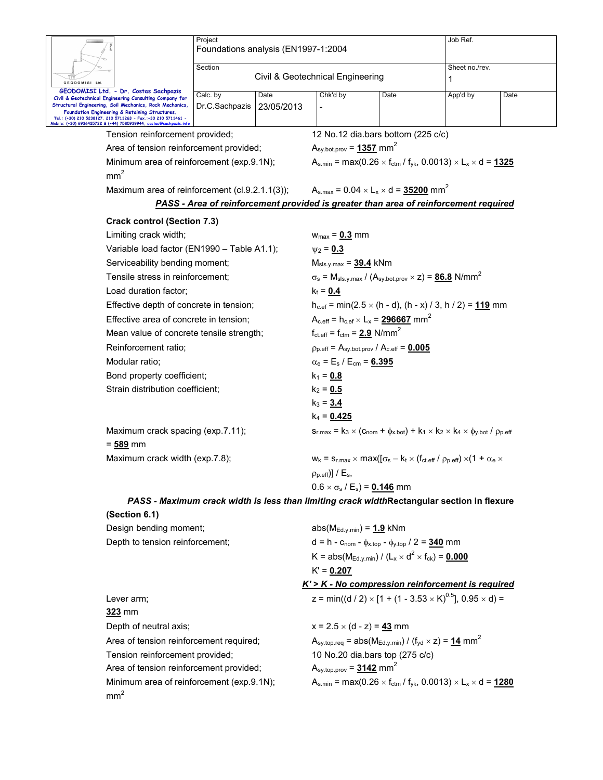|                                   |                                                                                                                         | Project<br>Foundations analysis (EN1997-1:2004 |                                                                           |                                                                                                                                   |                                 | Job Ref.                                                                                                                                              |      |  |
|-----------------------------------|-------------------------------------------------------------------------------------------------------------------------|------------------------------------------------|---------------------------------------------------------------------------|-----------------------------------------------------------------------------------------------------------------------------------|---------------------------------|-------------------------------------------------------------------------------------------------------------------------------------------------------|------|--|
|                                   |                                                                                                                         |                                                |                                                                           |                                                                                                                                   |                                 |                                                                                                                                                       |      |  |
| Section                           |                                                                                                                         |                                                |                                                                           | Sheet no./rev.<br>Civil & Geotechnical Engineering                                                                                |                                 |                                                                                                                                                       |      |  |
| GEODOMISI Ltd.                    |                                                                                                                         |                                                |                                                                           |                                                                                                                                   |                                 | 1                                                                                                                                                     |      |  |
|                                   | GEODOMISI Ltd. - Dr. Costas Sachpazis<br>Civil & Geotechnical Engineering Consulting Company for                        | Calc. by                                       | Date                                                                      | Chk'd by                                                                                                                          | Date                            | App'd by                                                                                                                                              | Date |  |
|                                   | Structural Engineering, Soil Mechanics, Rock Mechanics,<br>Foundation Engineering & Retaining Structures.               | Dr.C.Sachpazis                                 | 23/05/2013                                                                |                                                                                                                                   |                                 |                                                                                                                                                       |      |  |
|                                   | Tel.: (+30) 210 5238127, 210 5711263 - Fax.:+30 210 5711461 -<br>Mobile: (+30) 6936425722 & (+44) 7585939944, costas@sc |                                                |                                                                           |                                                                                                                                   |                                 |                                                                                                                                                       |      |  |
|                                   | Tension reinforcement provided;                                                                                         |                                                |                                                                           | 12 No.12 dia.bars bottom (225 c/c)                                                                                                |                                 |                                                                                                                                                       |      |  |
|                                   | Area of tension reinforcement provided;                                                                                 |                                                |                                                                           | $A_{sy.bot.prov} = 1357$ mm <sup>2</sup>                                                                                          |                                 |                                                                                                                                                       |      |  |
|                                   | Minimum area of reinforcement (exp.9.1N);<br>mm <sup>2</sup>                                                            |                                                |                                                                           |                                                                                                                                   |                                 | $A_{s,min} = max(0.26 \times f_{ctm} / f_{yk}, 0.0013) \times L_x \times d = 1325$                                                                    |      |  |
|                                   | Maximum area of reinforcement (cl.9.2.1.1(3));                                                                          |                                                |                                                                           | $A_{s,max} = 0.04 \times L_x \times d = 35200$ mm <sup>2</sup>                                                                    |                                 |                                                                                                                                                       |      |  |
|                                   |                                                                                                                         |                                                |                                                                           | <b>PASS - Area of reinforcement provided is greater than area of reinforcement required</b>                                       |                                 |                                                                                                                                                       |      |  |
|                                   | <b>Crack control (Section 7.3)</b>                                                                                      |                                                |                                                                           |                                                                                                                                   |                                 |                                                                                                                                                       |      |  |
|                                   | Limiting crack width;                                                                                                   |                                                |                                                                           | $W_{max} = 0.3$ mm                                                                                                                |                                 |                                                                                                                                                       |      |  |
|                                   | Variable load factor (EN1990 - Table A1.1);                                                                             |                                                |                                                                           | $\psi_2 = 0.3$                                                                                                                    |                                 |                                                                                                                                                       |      |  |
|                                   | Serviceability bending moment;                                                                                          |                                                |                                                                           | $M_{\rm sls.v.max} = 39.4$ kNm                                                                                                    |                                 |                                                                                                                                                       |      |  |
|                                   | Tensile stress in reinforcement;                                                                                        |                                                |                                                                           |                                                                                                                                   |                                 | $\sigma_s$ = M <sub>sls.y.max</sub> / (A <sub>sy.bot.prov</sub> $\times$ z) = <b>86.8</b> N/mm <sup>2</sup>                                           |      |  |
|                                   | Load duration factor;                                                                                                   |                                                |                                                                           | $k_t = 0.4$                                                                                                                       |                                 |                                                                                                                                                       |      |  |
|                                   | Effective depth of concrete in tension;                                                                                 |                                                |                                                                           |                                                                                                                                   |                                 |                                                                                                                                                       |      |  |
|                                   | Effective area of concrete in tension;                                                                                  |                                                |                                                                           | $h_{c.ef}$ = min(2.5 $\times$ (h - d), (h - x) / 3, h / 2) = 119 mm<br>$A_{c.eff} = h_{c.ef} \times L_x = 296667$ mm <sup>2</sup> |                                 |                                                                                                                                                       |      |  |
|                                   | Mean value of concrete tensile strength;                                                                                |                                                |                                                                           | $f_{\text{ct.eff}} = f_{\text{ctm}} = 2.9$ N/mm <sup>2</sup>                                                                      |                                 |                                                                                                                                                       |      |  |
| Reinforcement ratio;              |                                                                                                                         |                                                | $\rho_{p. eff}$ = A <sub>sy.bot.prov</sub> / A <sub>c.eff</sub> = $0.005$ |                                                                                                                                   |                                 |                                                                                                                                                       |      |  |
| Modular ratio:                    |                                                                                                                         |                                                | $\alpha_e = E_s / E_{cm} = 6.395$                                         |                                                                                                                                   |                                 |                                                                                                                                                       |      |  |
|                                   | Bond property coefficient;                                                                                              |                                                |                                                                           | $k_1 = 0.8$                                                                                                                       |                                 |                                                                                                                                                       |      |  |
|                                   | Strain distribution coefficient;                                                                                        |                                                |                                                                           | $k_2 = 0.5$                                                                                                                       |                                 |                                                                                                                                                       |      |  |
|                                   |                                                                                                                         |                                                |                                                                           | $k_3 = 3.4$                                                                                                                       |                                 |                                                                                                                                                       |      |  |
| Maximum crack spacing (exp.7.11); |                                                                                                                         |                                                |                                                                           | $k_4$ = 0.425                                                                                                                     |                                 |                                                                                                                                                       |      |  |
|                                   |                                                                                                                         |                                                |                                                                           |                                                                                                                                   |                                 | $S_{r,\text{max}} = k_3 \times (C_{\text{nom}} + \phi_{x,\text{bot}}) + k_1 \times k_2 \times k_4 \times \phi_{y,\text{bot}}$ / $\rho_{p,\text{eff}}$ |      |  |
|                                   | $= 589$ mm                                                                                                              |                                                |                                                                           |                                                                                                                                   |                                 |                                                                                                                                                       |      |  |
| Maximum crack width (exp.7.8);    |                                                                                                                         |                                                |                                                                           |                                                                                                                                   |                                 | $W_k = S_{r, max} \times max((\sigma_s - k_t \times (f_{ct, eff} / \rho_{p, eff}) \times (1 + \alpha_e \times$                                        |      |  |
|                                   |                                                                                                                         |                                                |                                                                           | $\rho_{p.eff}$ ] / $E_s$ ,                                                                                                        |                                 |                                                                                                                                                       |      |  |
|                                   |                                                                                                                         |                                                |                                                                           | $0.6 \times \sigma_s / E_s$ = 0.146 mm                                                                                            |                                 |                                                                                                                                                       |      |  |
|                                   |                                                                                                                         |                                                |                                                                           |                                                                                                                                   |                                 | PASS - Maximum crack width is less than limiting crack widthRectangular section in flexure                                                            |      |  |
|                                   | (Section 6.1)                                                                                                           |                                                |                                                                           |                                                                                                                                   |                                 |                                                                                                                                                       |      |  |
|                                   | Design bending moment;                                                                                                  |                                                |                                                                           | $abs(M_{Ed.v.min}) = 1.9$ kNm                                                                                                     |                                 |                                                                                                                                                       |      |  |
|                                   | Depth to tension reinforcement;                                                                                         |                                                |                                                                           | d = h - $C_{\text{nom}}$ - $\phi_{x \text{top}}$ - $\phi_{y \text{top}}$ / 2 = 340 mm                                             |                                 |                                                                                                                                                       |      |  |
|                                   |                                                                                                                         |                                                |                                                                           | K = abs( $M_{Ed,y,min}$ ) / (L <sub>x</sub> × d <sup>2</sup> × f <sub>ck</sub> ) = <b>0.000</b>                                   |                                 |                                                                                                                                                       |      |  |
|                                   |                                                                                                                         |                                                |                                                                           | $K' = 0.207$                                                                                                                      |                                 |                                                                                                                                                       |      |  |
|                                   |                                                                                                                         |                                                |                                                                           |                                                                                                                                   |                                 | K' > K - No compression reinforcement is required                                                                                                     |      |  |
|                                   | Lever arm;                                                                                                              |                                                |                                                                           |                                                                                                                                   |                                 | z = min((d / 2) × [1 + (1 - 3.53 × K) <sup>0.5</sup> ], 0.95 × d) =                                                                                   |      |  |
|                                   | 323 mm                                                                                                                  |                                                |                                                                           |                                                                                                                                   |                                 |                                                                                                                                                       |      |  |
|                                   | Depth of neutral axis;                                                                                                  |                                                |                                                                           | $x = 2.5 \times (d - z) = 43$ mm                                                                                                  |                                 |                                                                                                                                                       |      |  |
|                                   | Area of tension reinforcement required;                                                                                 |                                                |                                                                           |                                                                                                                                   |                                 | $A_{\text{sy-top.}req}$ = abs(M <sub>Ed.y.min</sub> ) / (f <sub>yd</sub> × z) = 14 mm <sup>2</sup>                                                    |      |  |
|                                   | Tension reinforcement provided;                                                                                         |                                                |                                                                           |                                                                                                                                   | 10 No.20 dia.bars top (275 c/c) |                                                                                                                                                       |      |  |
|                                   | Area of tension reinforcement provided;                                                                                 |                                                |                                                                           | $A_{\text{sy.top.prov}} = 3142 \text{ mm}^2$                                                                                      |                                 |                                                                                                                                                       |      |  |
|                                   | Minimum area of reinforcement (exp.9.1N);                                                                               |                                                |                                                                           |                                                                                                                                   |                                 | $A_{s,min} = max(0.26 \times f_{ctm} / f_{yk}, 0.0013) \times L_x \times d = 1280$                                                                    |      |  |
|                                   | mm <sup>2</sup>                                                                                                         |                                                |                                                                           |                                                                                                                                   |                                 |                                                                                                                                                       |      |  |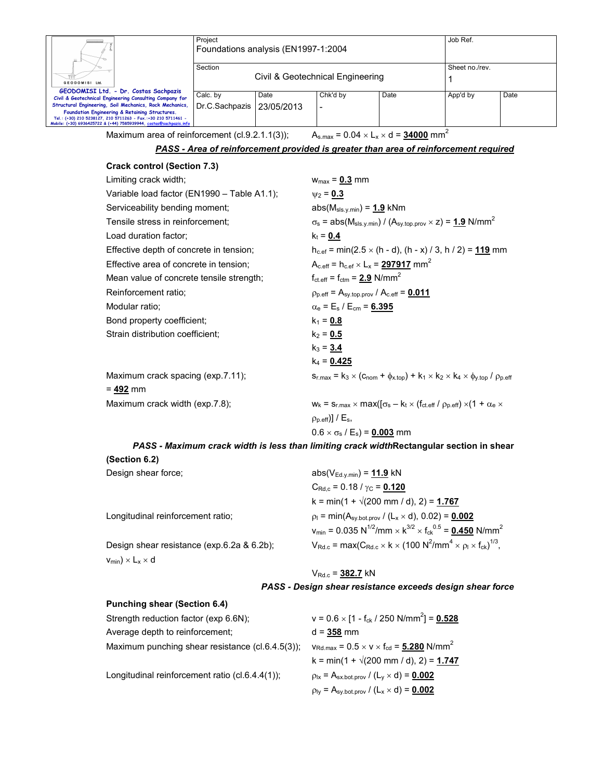|                                                                                                                                     | Project                             |            |          |      | Job Ref.       |      |  |
|-------------------------------------------------------------------------------------------------------------------------------------|-------------------------------------|------------|----------|------|----------------|------|--|
|                                                                                                                                     | Foundations analysis (EN1997-1:2004 |            |          |      |                |      |  |
|                                                                                                                                     |                                     |            |          |      |                |      |  |
|                                                                                                                                     | Section                             |            |          |      | Sheet no./rev. |      |  |
|                                                                                                                                     | Civil & Geotechnical Engineering    |            |          |      |                |      |  |
| GEODOMISI Ltd.                                                                                                                      |                                     |            |          |      |                |      |  |
| GEODOMISI Ltd. - Dr. Costas Sachpazis                                                                                               | Calc. by                            | Date       | Chk'd by | Date | App'd by       | Date |  |
| Civil & Geotechnical Engineering Consulting Company for                                                                             |                                     |            |          |      |                |      |  |
| Structural Engineering, Soil Mechanics, Rock Mechanics,                                                                             | Dr.C.Sachpazis                      | 23/05/2013 |          |      |                |      |  |
| Foundation Engineering & Retaining Structures.                                                                                      |                                     |            |          |      |                |      |  |
| Tel.: (+30) 210 5238127, 210 5711263 - Fax.:+30 210 5711461 -<br>Mobile: (+30) 6936425722 & (+44) 7585939944, costas@sachpazis.info |                                     |            |          |      |                |      |  |
|                                                                                                                                     |                                     |            |          |      |                |      |  |

Maximum area of reinforcement (cl.9.2.1.1(3));  $A_{s,max} = 0.04 \times L_x \times d = 34000 \text{ mm}^2$ 

*PASS - Area of reinforcement provided is greater than area of reinforcement required*

| <b>Crack control (Section 7.3)</b>          |                                                                                                                  |
|---------------------------------------------|------------------------------------------------------------------------------------------------------------------|
| Limiting crack width;                       | $w_{max} = 0.3$ mm                                                                                               |
| Variable load factor (EN1990 - Table A1.1); | $\psi_2 = 0.3$                                                                                                   |
| Serviceability bending moment;              | $abs(M_{sls.y.min}) = 1.9$ kNm                                                                                   |
| Tensile stress in reinforcement;            | $\sigma_s$ = abs( $M_{sls,v,min}$ ) / (A <sub>sy.top.prov</sub> × z) = 1.9 N/mm <sup>2</sup>                     |
| Load duration factor:                       | $k_t = 0.4$                                                                                                      |
| Effective depth of concrete in tension;     | $h_{c,ef}$ = min(2.5 $\times$ (h - d), (h - x) / 3, h / 2) = 119 mm                                              |
| Effective area of concrete in tension;      | $A_{c.eff} = h_{c.ef} \times L_x = 297917$ mm <sup>2</sup>                                                       |
| Mean value of concrete tensile strength;    | $f_{\text{ct.eff}} = f_{\text{ctm}} = 2.9 \text{ N/mm}^2$                                                        |
| Reinforcement ratio:                        | $\rho_{p. eff}$ = A <sub>sy.top.prov</sub> / A <sub>c.eff</sub> = $0.011$                                        |
| Modular ratio;                              | $\alpha_e = E_s / E_{cm} = 6.395$                                                                                |
| Bond property coefficient;                  | $k_1 = 0.8$                                                                                                      |
| Strain distribution coefficient;            | $k_2 = 0.5$                                                                                                      |
|                                             | $k_3 = 3.4$                                                                                                      |
|                                             | $k_4 = 0.425$                                                                                                    |
| Maximum crack spacing (exp.7.11);           | $S_{r,max} = k_3 \times (C_{nom} + \phi_{x-top}) + k_1 \times k_2 \times k_4 \times \phi_{y-top} / \rho_{p-eff}$ |
| = 492 mm                                    |                                                                                                                  |
| Maximum crack width (exp.7.8);              | $W_k = S_{r, max} \times max(\sigma_s - k_t \times (f_{ct, eff} / \rho_{p, eff}) \times (1 + \alpha_e \times$    |
|                                             | $\rho_{\text{p.eff}}$ ] / $E_{\text{s}}$ ,                                                                       |

$$
0.6 \times \sigma_s / E_s = 0.003
$$
 mm

*PASS - Maximum crack width is less than limiting crack width***Rectangular section in shear** 

**(Section 6.2)** 

| Design shear force;                        | $abs(V_{Ed.y.min}) = 11.9$ kN                                                                                                     |
|--------------------------------------------|-----------------------------------------------------------------------------------------------------------------------------------|
|                                            | $C_{\text{Rd.c}}$ = 0.18 / $\gamma_{\text{C}}$ = 0.120                                                                            |
|                                            | $k = min(1 + \sqrt{200} \text{ mm } / \text{ d}), 2) = 1.767$                                                                     |
| Longitudinal reinforcement ratio:          | $p_1 = min(A_{sy,bot.prov} / (L_x \times d), 0.02) = 0.002$                                                                       |
|                                            | $v_{\text{min}} = 0.035 \text{ N}^{1/2}/\text{mm} \times \text{K}^{3/2} \times \text{f}_{\text{ck}}^{0.5} = 0.450 \text{ N/mm}^2$ |
| Design shear resistance (exp.6.2a & 6.2b); | $V_{\text{Rd.c}} = \max(C_{\text{Rd.c}} \times k \times (100 \text{ N}^2/\text{mm}^4 \times \rho_1 \times f_{\text{ck}})^{1/3},$  |
| $V_{min}$ ) $\times$ $L_x \times d$        |                                                                                                                                   |
|                                            | $V_{\rm Rdc}$ = 382.7 kN                                                                                                          |

| PASS - Design shear resistance exceeds design shear force |  |
|-----------------------------------------------------------|--|
|-----------------------------------------------------------|--|

| <b>Punching shear (Section 6.4)</b>              |                                                                                |
|--------------------------------------------------|--------------------------------------------------------------------------------|
| Strength reduction factor (exp 6.6N);            | $v = 0.6 \times [1 - f_{ck} / 250 \text{ N/mm}^2] = 0.528$                     |
| Average depth to reinforcement;                  | $d = 358$ mm                                                                   |
| Maximum punching shear resistance (cl.6.4.5(3)); | $v_{\text{Rd,max}} = 0.5 \times v \times f_{\text{cd}} = 5.280 \text{ N/mm}^2$ |
|                                                  | k = min(1 + $\sqrt{200}$ mm / d), 2) = 1.747                                   |
| Longitudinal reinforcement ratio (cl.6.4.4(1));  | $p_{1x} = A_{sx.bot.prov} / (L_y \times d) = 0.002$                            |
|                                                  | $p_{1y} = A_{sy.bot,prov} / (L_x \times d) = 0.002$                            |